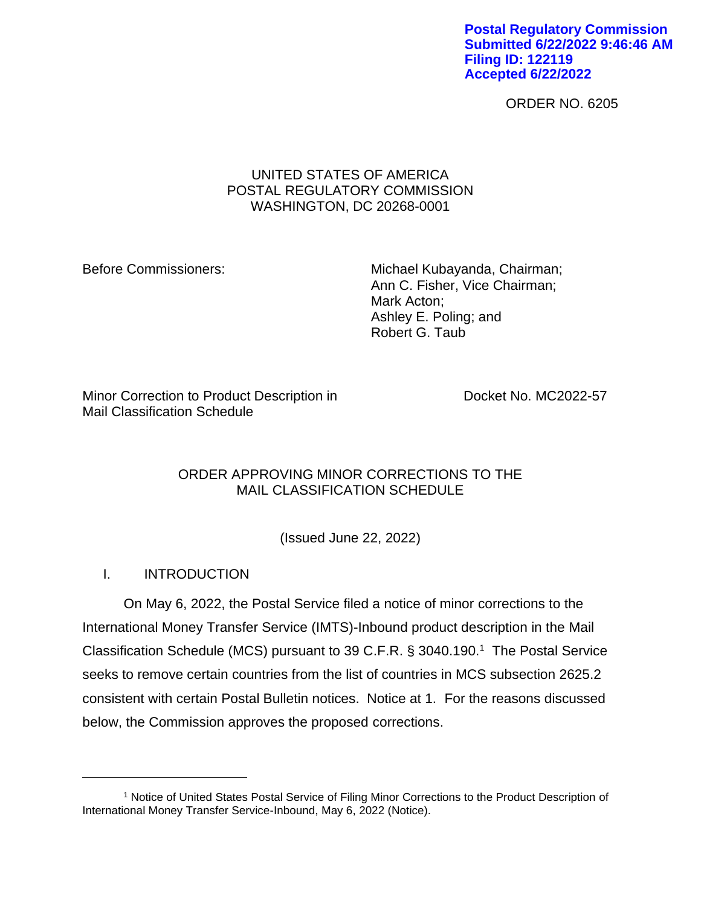**Postal Regulatory Commission Submitted 6/22/2022 9:46:46 AM Filing ID: 122119 Accepted 6/22/2022**

ORDER NO. 6205

## UNITED STATES OF AMERICA POSTAL REGULATORY COMMISSION WASHINGTON, DC 20268-0001

Before Commissioners: Michael Kubayanda, Chairman; Ann C. Fisher, Vice Chairman; Mark Acton; Ashley E. Poling; and Robert G. Taub

Minor Correction to Product Description in Docket No. MC2022-57 Mail Classification Schedule

## ORDER APPROVING MINOR CORRECTIONS TO THE MAIL CLASSIFICATION SCHEDULE

(Issued June 22, 2022)

# I. INTRODUCTION

On May 6, 2022, the Postal Service filed a notice of minor corrections to the International Money Transfer Service (IMTS)-Inbound product description in the Mail Classification Schedule (MCS) pursuant to 39 C.F.R. § 3040.190. 1 The Postal Service seeks to remove certain countries from the list of countries in MCS subsection 2625.2 consistent with certain Postal Bulletin notices. Notice at 1. For the reasons discussed below, the Commission approves the proposed corrections.

<sup>1</sup> Notice of United States Postal Service of Filing Minor Corrections to the Product Description of International Money Transfer Service-Inbound, May 6, 2022 (Notice).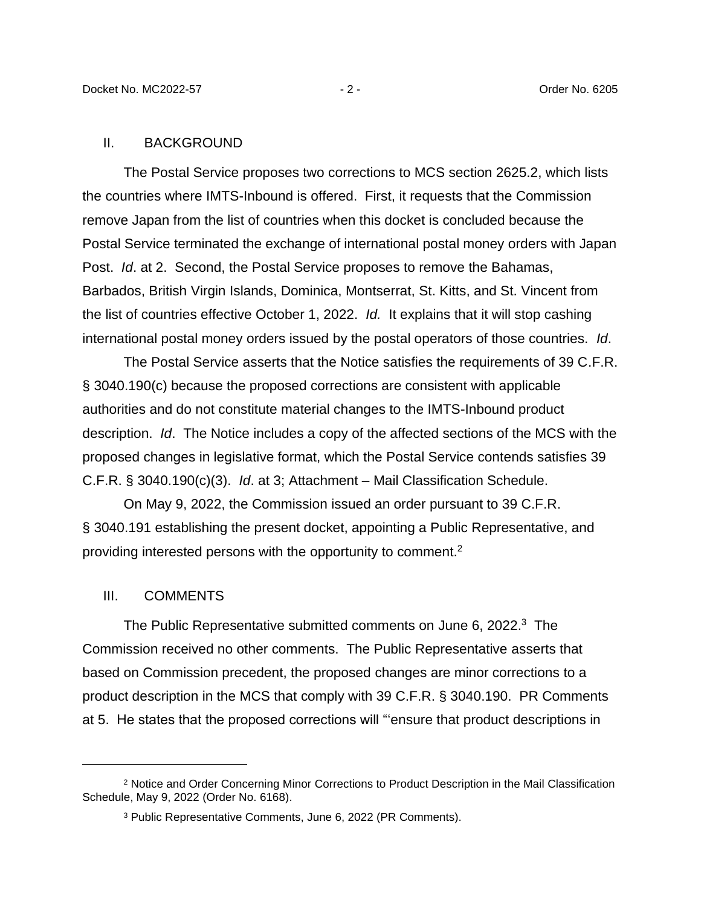#### II. BACKGROUND

The Postal Service proposes two corrections to MCS section 2625.2, which lists the countries where IMTS-Inbound is offered. First, it requests that the Commission remove Japan from the list of countries when this docket is concluded because the Postal Service terminated the exchange of international postal money orders with Japan Post. *Id*. at 2. Second, the Postal Service proposes to remove the Bahamas, Barbados, British Virgin Islands, Dominica, Montserrat, St. Kitts, and St. Vincent from the list of countries effective October 1, 2022. *Id.* It explains that it will stop cashing international postal money orders issued by the postal operators of those countries. *Id*.

The Postal Service asserts that the Notice satisfies the requirements of 39 C.F.R. § 3040.190(c) because the proposed corrections are consistent with applicable authorities and do not constitute material changes to the IMTS-Inbound product description. *Id*. The Notice includes a copy of the affected sections of the MCS with the proposed changes in legislative format, which the Postal Service contends satisfies 39 C.F.R. § 3040.190(c)(3). *Id*. at 3; Attachment – Mail Classification Schedule.

On May 9, 2022, the Commission issued an order pursuant to 39 C.F.R. § 3040.191 establishing the present docket, appointing a Public Representative, and providing interested persons with the opportunity to comment.<sup>2</sup>

#### III. COMMENTS

The Public Representative submitted comments on June 6, 2022.<sup>3</sup> The Commission received no other comments. The Public Representative asserts that based on Commission precedent, the proposed changes are minor corrections to a product description in the MCS that comply with 39 C.F.R. § 3040.190. PR Comments at 5. He states that the proposed corrections will "'ensure that product descriptions in

<sup>2</sup> Notice and Order Concerning Minor Corrections to Product Description in the Mail Classification Schedule, May 9, 2022 (Order No. 6168).

<sup>3</sup> Public Representative Comments, June 6, 2022 (PR Comments).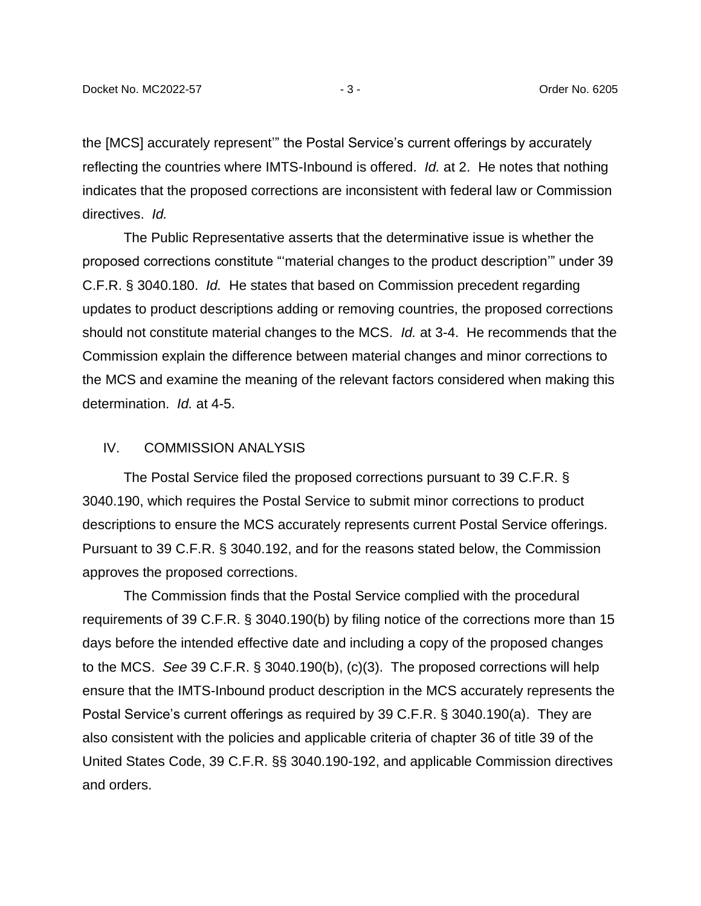the [MCS] accurately represent'" the Postal Service's current offerings by accurately reflecting the countries where IMTS-Inbound is offered. *Id.* at 2. He notes that nothing indicates that the proposed corrections are inconsistent with federal law or Commission directives. *Id.*

The Public Representative asserts that the determinative issue is whether the proposed corrections constitute "'material changes to the product description'" under 39 C.F.R. § 3040.180. *Id.* He states that based on Commission precedent regarding updates to product descriptions adding or removing countries, the proposed corrections should not constitute material changes to the MCS. *Id.* at 3-4. He recommends that the Commission explain the difference between material changes and minor corrections to the MCS and examine the meaning of the relevant factors considered when making this determination. *Id.* at 4-5.

### IV. COMMISSION ANALYSIS

The Postal Service filed the proposed corrections pursuant to 39 C.F.R. § 3040.190, which requires the Postal Service to submit minor corrections to product descriptions to ensure the MCS accurately represents current Postal Service offerings. Pursuant to 39 C.F.R. § 3040.192, and for the reasons stated below, the Commission approves the proposed corrections.

The Commission finds that the Postal Service complied with the procedural requirements of 39 C.F.R. § 3040.190(b) by filing notice of the corrections more than 15 days before the intended effective date and including a copy of the proposed changes to the MCS. *See* 39 C.F.R. § 3040.190(b), (c)(3). The proposed corrections will help ensure that the IMTS-Inbound product description in the MCS accurately represents the Postal Service's current offerings as required by 39 C.F.R. § 3040.190(a). They are also consistent with the policies and applicable criteria of chapter 36 of title 39 of the United States Code, 39 C.F.R. §§ 3040.190-192, and applicable Commission directives and orders.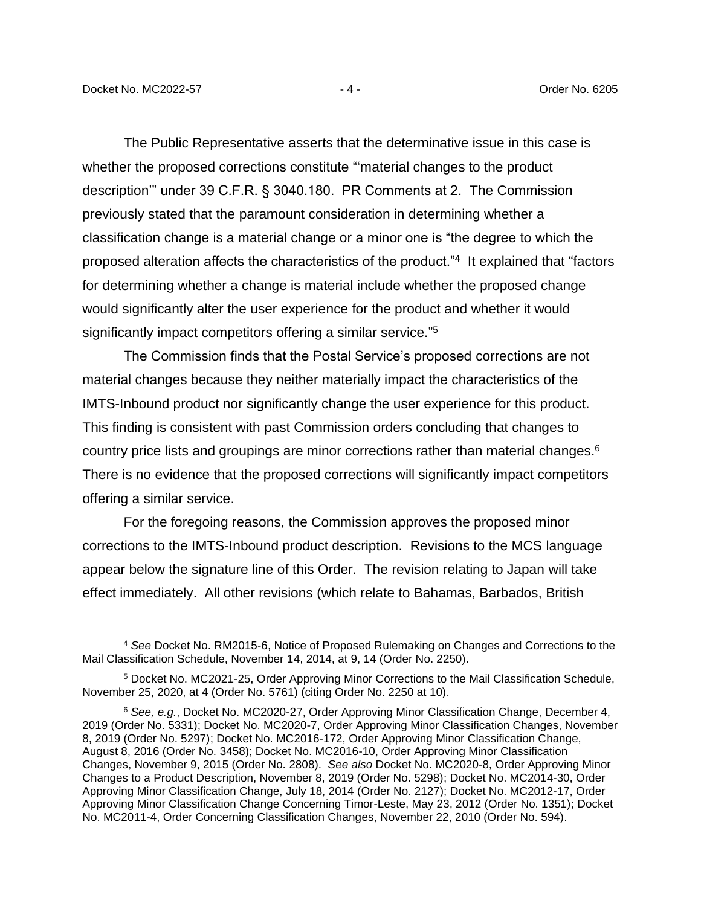The Public Representative asserts that the determinative issue in this case is whether the proposed corrections constitute "'material changes to the product description'" under 39 C.F.R. § 3040.180. PR Comments at 2. The Commission previously stated that the paramount consideration in determining whether a classification change is a material change or a minor one is "the degree to which the proposed alteration affects the characteristics of the product."<sup>4</sup> It explained that "factors for determining whether a change is material include whether the proposed change would significantly alter the user experience for the product and whether it would significantly impact competitors offering a similar service."<sup>5</sup>

The Commission finds that the Postal Service's proposed corrections are not material changes because they neither materially impact the characteristics of the IMTS-Inbound product nor significantly change the user experience for this product. This finding is consistent with past Commission orders concluding that changes to country price lists and groupings are minor corrections rather than material changes.<sup>6</sup> There is no evidence that the proposed corrections will significantly impact competitors offering a similar service.

For the foregoing reasons, the Commission approves the proposed minor corrections to the IMTS-Inbound product description. Revisions to the MCS language appear below the signature line of this Order. The revision relating to Japan will take effect immediately. All other revisions (which relate to Bahamas, Barbados, British

<sup>4</sup> *See* Docket No. RM2015-6, Notice of Proposed Rulemaking on Changes and Corrections to the Mail Classification Schedule, November 14, 2014, at 9, 14 (Order No. 2250).

<sup>5</sup> Docket No. MC2021-25, Order Approving Minor Corrections to the Mail Classification Schedule, November 25, 2020, at 4 (Order No. 5761) (citing Order No. 2250 at 10).

<sup>6</sup> *See, e.g.*, Docket No. MC2020-27, Order Approving Minor Classification Change, December 4, 2019 (Order No. 5331); Docket No. MC2020-7, Order Approving Minor Classification Changes, November 8, 2019 (Order No. 5297); Docket No. MC2016-172, Order Approving Minor Classification Change, August 8, 2016 (Order No. 3458); Docket No. MC2016-10, Order Approving Minor Classification Changes, November 9, 2015 (Order No. 2808). *See also* Docket No. MC2020-8, Order Approving Minor Changes to a Product Description, November 8, 2019 (Order No. 5298); Docket No. MC2014-30, Order Approving Minor Classification Change, July 18, 2014 (Order No. 2127); Docket No. MC2012-17, Order Approving Minor Classification Change Concerning Timor-Leste, May 23, 2012 (Order No. 1351); Docket No. MC2011-4, Order Concerning Classification Changes, November 22, 2010 (Order No. 594).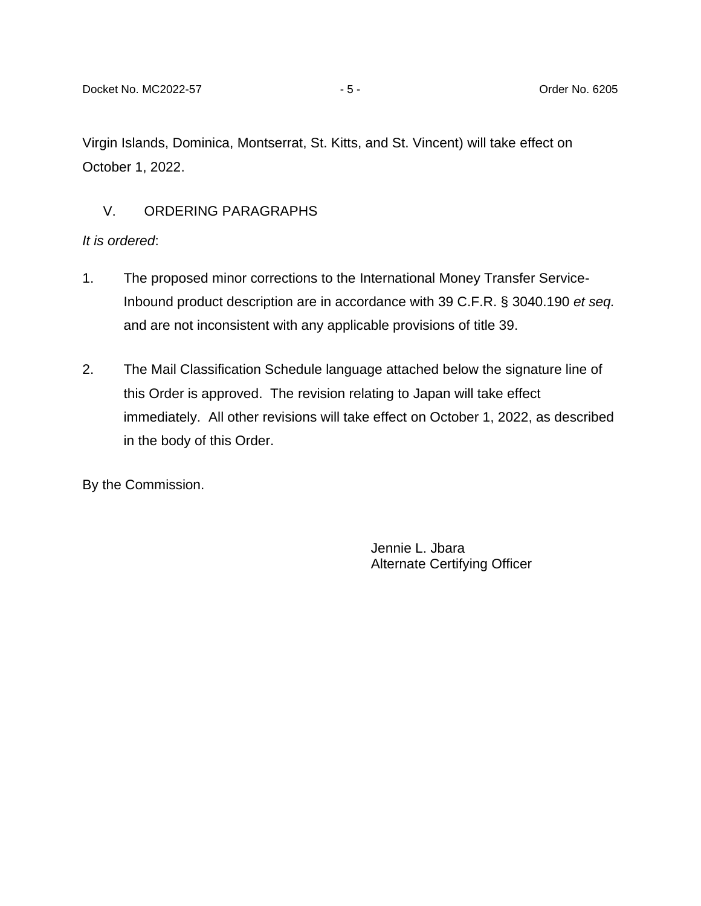Virgin Islands, Dominica, Montserrat, St. Kitts, and St. Vincent) will take effect on October 1, 2022.

## V. ORDERING PARAGRAPHS

### *It is ordered*:

- 1. The proposed minor corrections to the International Money Transfer Service-Inbound product description are in accordance with 39 C.F.R. § 3040.190 *et seq.* and are not inconsistent with any applicable provisions of title 39.
- 2. The Mail Classification Schedule language attached below the signature line of this Order is approved. The revision relating to Japan will take effect immediately. All other revisions will take effect on October 1, 2022, as described in the body of this Order.

By the Commission.

Jennie L. Jbara Alternate Certifying Officer